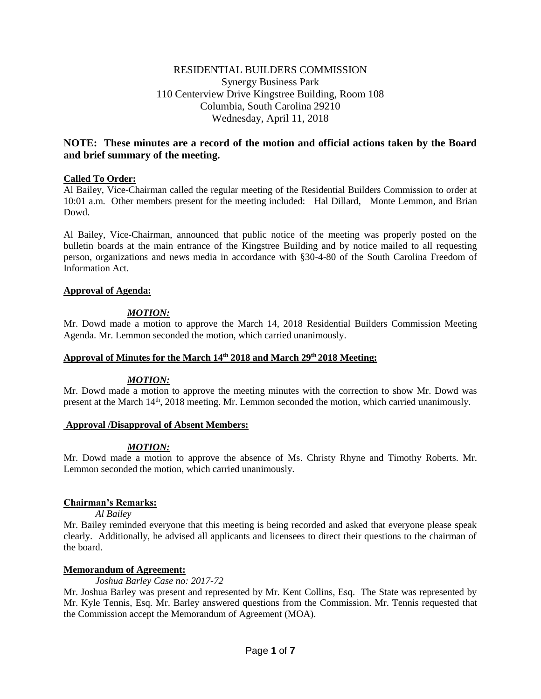# RESIDENTIAL BUILDERS COMMISSION Synergy Business Park 110 Centerview Drive Kingstree Building, Room 108 Columbia, South Carolina 29210 Wednesday, April 11, 2018

# **NOTE: These minutes are a record of the motion and official actions taken by the Board and brief summary of the meeting.**

# **Called To Order:**

Al Bailey, Vice-Chairman called the regular meeting of the Residential Builders Commission to order at 10:01 a.m. Other members present for the meeting included: Hal Dillard, Monte Lemmon, and Brian Dowd.

Al Bailey, Vice-Chairman, announced that public notice of the meeting was properly posted on the bulletin boards at the main entrance of the Kingstree Building and by notice mailed to all requesting person, organizations and news media in accordance with §30-4-80 of the South Carolina Freedom of Information Act.

#### **Approval of Agenda:**

# *MOTION:*

Mr. Dowd made a motion to approve the March 14, 2018 Residential Builders Commission Meeting Agenda. Mr. Lemmon seconded the motion, which carried unanimously.

#### **Approval of Minutes for the March 14th 2018 and March 29th 2018 Meeting:**

#### *MOTION:*

Mr. Dowd made a motion to approve the meeting minutes with the correction to show Mr. Dowd was present at the March 14<sup>th</sup>, 2018 meeting. Mr. Lemmon seconded the motion, which carried unanimously.

#### **Approval /Disapproval of Absent Members:**

# *MOTION:*

Mr. Dowd made a motion to approve the absence of Ms. Christy Rhyne and Timothy Roberts. Mr. Lemmon seconded the motion, which carried unanimously.

# **Chairman's Remarks:**

*Al Bailey*

Mr. Bailey reminded everyone that this meeting is being recorded and asked that everyone please speak clearly. Additionally, he advised all applicants and licensees to direct their questions to the chairman of the board.

#### **Memorandum of Agreement:**

*Joshua Barley Case no: 2017-72*

Mr. Joshua Barley was present and represented by Mr. Kent Collins, Esq. The State was represented by Mr. Kyle Tennis, Esq. Mr. Barley answered questions from the Commission. Mr. Tennis requested that the Commission accept the Memorandum of Agreement (MOA).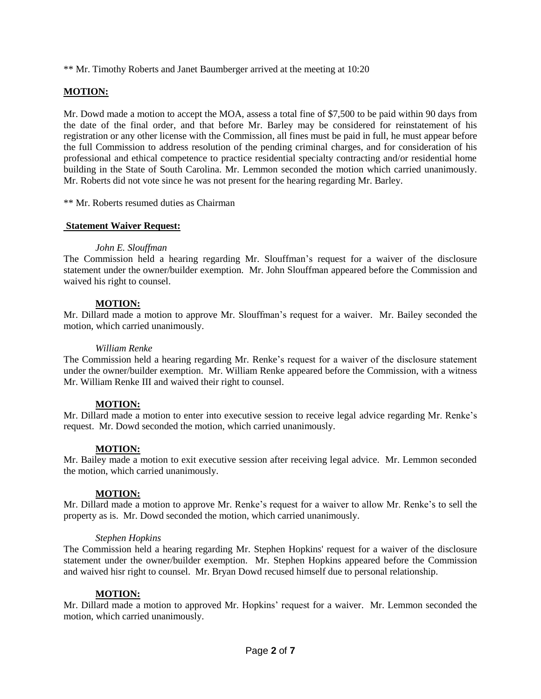\*\* Mr. Timothy Roberts and Janet Baumberger arrived at the meeting at 10:20

# **MOTION:**

Mr. Dowd made a motion to accept the MOA, assess a total fine of \$7,500 to be paid within 90 days from the date of the final order, and that before Mr. Barley may be considered for reinstatement of his registration or any other license with the Commission, all fines must be paid in full, he must appear before the full Commission to address resolution of the pending criminal charges, and for consideration of his professional and ethical competence to practice residential specialty contracting and/or residential home building in the State of South Carolina. Mr. Lemmon seconded the motion which carried unanimously. Mr. Roberts did not vote since he was not present for the hearing regarding Mr. Barley.

\*\* Mr. Roberts resumed duties as Chairman

#### **Statement Waiver Request:**

#### *John E. Slouffman*

The Commission held a hearing regarding Mr. Slouffman's request for a waiver of the disclosure statement under the owner/builder exemption. Mr. John Slouffman appeared before the Commission and waived his right to counsel.

#### **MOTION:**

Mr. Dillard made a motion to approve Mr. Slouffman's request for a waiver. Mr. Bailey seconded the motion, which carried unanimously.

#### *William Renke*

The Commission held a hearing regarding Mr. Renke's request for a waiver of the disclosure statement under the owner/builder exemption. Mr. William Renke appeared before the Commission, with a witness Mr. William Renke III and waived their right to counsel.

#### **MOTION:**

Mr. Dillard made a motion to enter into executive session to receive legal advice regarding Mr. Renke's request. Mr. Dowd seconded the motion, which carried unanimously.

#### **MOTION:**

Mr. Bailey made a motion to exit executive session after receiving legal advice. Mr. Lemmon seconded the motion, which carried unanimously.

#### **MOTION:**

Mr. Dillard made a motion to approve Mr. Renke's request for a waiver to allow Mr. Renke's to sell the property as is. Mr. Dowd seconded the motion, which carried unanimously.

#### *Stephen Hopkins*

The Commission held a hearing regarding Mr. Stephen Hopkins' request for a waiver of the disclosure statement under the owner/builder exemption. Mr. Stephen Hopkins appeared before the Commission and waived hisr right to counsel. Mr. Bryan Dowd recused himself due to personal relationship.

#### **MOTION:**

Mr. Dillard made a motion to approved Mr. Hopkins' request for a waiver. Mr. Lemmon seconded the motion, which carried unanimously.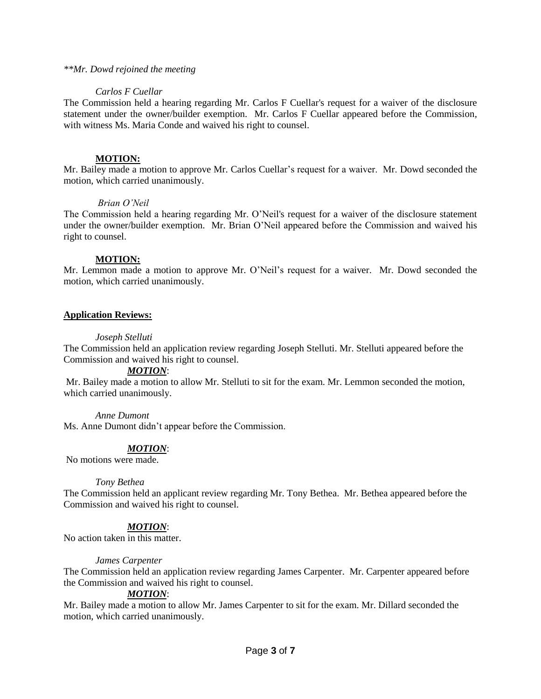#### *\*\*Mr. Dowd rejoined the meeting*

### *Carlos F Cuellar*

The Commission held a hearing regarding Mr. Carlos F Cuellar's request for a waiver of the disclosure statement under the owner/builder exemption. Mr. Carlos F Cuellar appeared before the Commission, with witness Ms. Maria Conde and waived his right to counsel.

# **MOTION:**

Mr. Bailey made a motion to approve Mr. Carlos Cuellar's request for a waiver. Mr. Dowd seconded the motion, which carried unanimously.

#### *Brian O'Neil*

The Commission held a hearing regarding Mr. O'Neil's request for a waiver of the disclosure statement under the owner/builder exemption. Mr. Brian O'Neil appeared before the Commission and waived his right to counsel.

# **MOTION:**

Mr. Lemmon made a motion to approve Mr. O'Neil's request for a waiver. Mr. Dowd seconded the motion, which carried unanimously.

# **Application Reviews:**

# *Joseph Stelluti*

The Commission held an application review regarding Joseph Stelluti. Mr. Stelluti appeared before the Commission and waived his right to counsel.

#### *MOTION*:

Mr. Bailey made a motion to allow Mr. Stelluti to sit for the exam. Mr. Lemmon seconded the motion, which carried unanimously.

#### *Anne Dumont*

Ms. Anne Dumont didn't appear before the Commission.

# *MOTION*:

No motions were made.

#### *Tony Bethea*

The Commission held an applicant review regarding Mr. Tony Bethea. Mr. Bethea appeared before the Commission and waived his right to counsel.

# *MOTION*:

No action taken in this matter.

#### *James Carpenter*

The Commission held an application review regarding James Carpenter. Mr. Carpenter appeared before the Commission and waived his right to counsel.

#### *MOTION*:

Mr. Bailey made a motion to allow Mr. James Carpenter to sit for the exam. Mr. Dillard seconded the motion, which carried unanimously.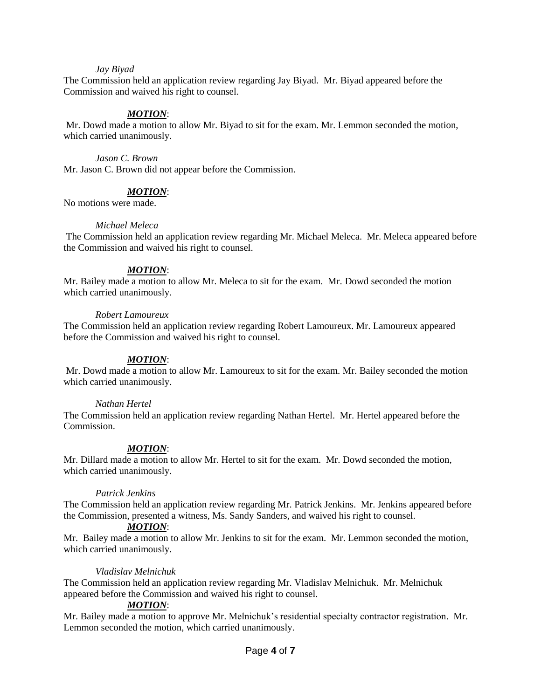#### *Jay Biyad*

The Commission held an application review regarding Jay Biyad. Mr. Biyad appeared before the Commission and waived his right to counsel.

#### *MOTION*:

Mr. Dowd made a motion to allow Mr. Biyad to sit for the exam. Mr. Lemmon seconded the motion, which carried unanimously.

*Jason C. Brown*  Mr. Jason C. Brown did not appear before the Commission.

#### *MOTION*:

No motions were made.

#### *Michael Meleca*

The Commission held an application review regarding Mr. Michael Meleca. Mr. Meleca appeared before the Commission and waived his right to counsel.

#### *MOTION*:

Mr. Bailey made a motion to allow Mr. Meleca to sit for the exam. Mr. Dowd seconded the motion which carried unanimously.

#### *Robert Lamoureux*

The Commission held an application review regarding Robert Lamoureux. Mr. Lamoureux appeared before the Commission and waived his right to counsel.

#### *MOTION*:

Mr. Dowd made a motion to allow Mr. Lamoureux to sit for the exam. Mr. Bailey seconded the motion which carried unanimously.

#### *Nathan Hertel*

The Commission held an application review regarding Nathan Hertel. Mr. Hertel appeared before the Commission.

#### *MOTION*:

Mr. Dillard made a motion to allow Mr. Hertel to sit for the exam. Mr. Dowd seconded the motion, which carried unanimously.

#### *Patrick Jenkins*

The Commission held an application review regarding Mr. Patrick Jenkins. Mr. Jenkins appeared before the Commission, presented a witness, Ms. Sandy Sanders, and waived his right to counsel.

#### *MOTION*:

Mr. Bailey made a motion to allow Mr. Jenkins to sit for the exam. Mr. Lemmon seconded the motion, which carried unanimously.

#### *Vladislav Melnichuk*

The Commission held an application review regarding Mr. Vladislav Melnichuk. Mr. Melnichuk appeared before the Commission and waived his right to counsel.

#### *MOTION*:

Mr. Bailey made a motion to approve Mr. Melnichuk's residential specialty contractor registration. Mr. Lemmon seconded the motion, which carried unanimously.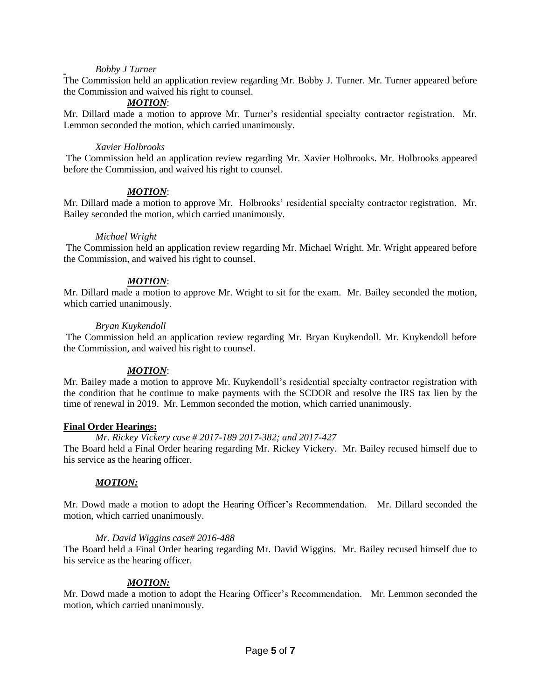#### *Bobby J Turner*

The Commission held an application review regarding Mr. Bobby J. Turner. Mr. Turner appeared before the Commission and waived his right to counsel.

# *MOTION*:

Mr. Dillard made a motion to approve Mr. Turner's residential specialty contractor registration. Mr. Lemmon seconded the motion, which carried unanimously.

#### *Xavier Holbrooks*

The Commission held an application review regarding Mr. Xavier Holbrooks. Mr. Holbrooks appeared before the Commission, and waived his right to counsel.

#### *MOTION*:

Mr. Dillard made a motion to approve Mr. Holbrooks' residential specialty contractor registration. Mr. Bailey seconded the motion, which carried unanimously.

#### *Michael Wright*

The Commission held an application review regarding Mr. Michael Wright. Mr. Wright appeared before the Commission, and waived his right to counsel.

# *MOTION*:

Mr. Dillard made a motion to approve Mr. Wright to sit for the exam. Mr. Bailey seconded the motion, which carried unanimously.

#### *Bryan Kuykendoll*

The Commission held an application review regarding Mr. Bryan Kuykendoll. Mr. Kuykendoll before the Commission, and waived his right to counsel.

#### *MOTION*:

Mr. Bailey made a motion to approve Mr. Kuykendoll's residential specialty contractor registration with the condition that he continue to make payments with the SCDOR and resolve the IRS tax lien by the time of renewal in 2019. Mr. Lemmon seconded the motion, which carried unanimously.

#### **Final Order Hearings:**

*Mr. Rickey Vickery case # 2017-189 2017-382; and 2017-427*

The Board held a Final Order hearing regarding Mr. Rickey Vickery. Mr. Bailey recused himself due to his service as the hearing officer.

#### *MOTION:*

Mr. Dowd made a motion to adopt the Hearing Officer's Recommendation. Mr. Dillard seconded the motion, which carried unanimously.

#### *Mr. David Wiggins case# 2016-488*

The Board held a Final Order hearing regarding Mr. David Wiggins. Mr. Bailey recused himself due to his service as the hearing officer.

#### *MOTION:*

Mr. Dowd made a motion to adopt the Hearing Officer's Recommendation. Mr. Lemmon seconded the motion, which carried unanimously.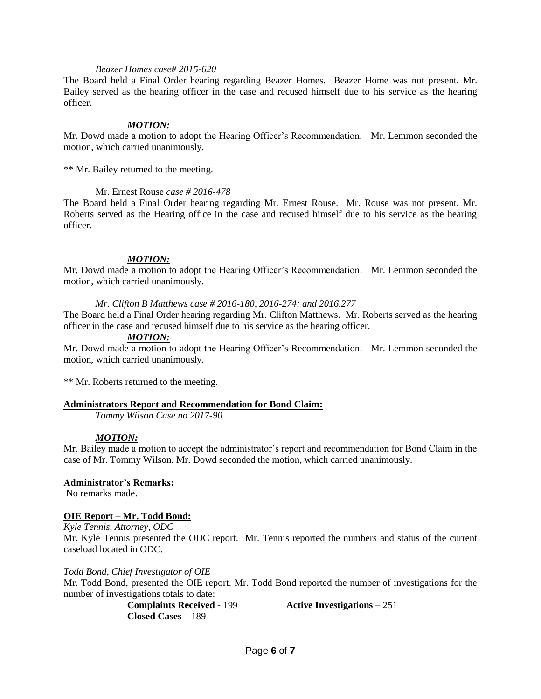#### *Beazer Homes case# 2015-620*

The Board held a Final Order hearing regarding Beazer Homes. Beazer Home was not present. Mr. Bailey served as the hearing officer in the case and recused himself due to his service as the hearing officer.

#### *MOTION:*

Mr. Dowd made a motion to adopt the Hearing Officer's Recommendation. Mr. Lemmon seconded the motion, which carried unanimously.

\*\* Mr. Bailey returned to the meeting.

#### Mr. Ernest Rouse *case # 2016-478*

The Board held a Final Order hearing regarding Mr. Ernest Rouse. Mr. Rouse was not present. Mr. Roberts served as the Hearing office in the case and recused himself due to his service as the hearing officer.

#### *MOTION:*

Mr. Dowd made a motion to adopt the Hearing Officer's Recommendation. Mr. Lemmon seconded the motion, which carried unanimously.

*Mr. Clifton B Matthews case # 2016-180, 2016-274; and 2016.277*

The Board held a Final Order hearing regarding Mr. Clifton Matthews. Mr. Roberts served as the hearing officer in the case and recused himself due to his service as the hearing officer.

#### *MOTION:*

Mr. Dowd made a motion to adopt the Hearing Officer's Recommendation. Mr. Lemmon seconded the motion, which carried unanimously.

\*\* Mr. Roberts returned to the meeting.

#### **Administrators Report and Recommendation for Bond Claim:**

*Tommy Wilson Case no 2017-90*

#### *MOTION:*

Mr. Bailey made a motion to accept the administrator's report and recommendation for Bond Claim in the case of Mr. Tommy Wilson. Mr. Dowd seconded the motion, which carried unanimously.

# **Administrator's Remarks:**

No remarks made.

#### **OIE Report – Mr. Todd Bond:**

*Kyle Tennis, Attorney, ODC* Mr. Kyle Tennis presented the ODC report.Mr. Tennis reported the numbers and status of the current caseload located in ODC.

#### *Todd Bond, Chief Investigator of OIE*

Mr. Todd Bond, presented the OIE report. Mr. Todd Bond reported the number of investigations for the number of investigations totals to date:

**Closed Cases –** 189

**Complaints Received -** 199 **Active Investigations –** 251